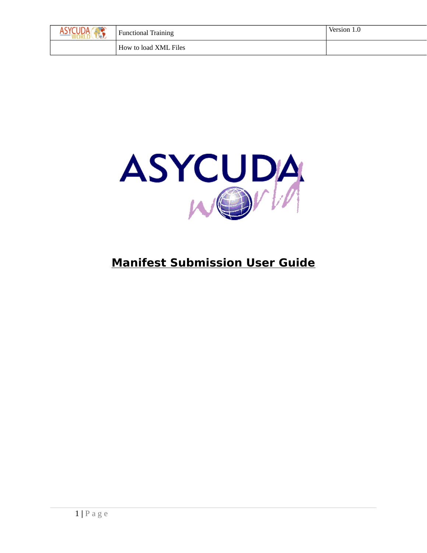| <b>Functional Training</b> | Version 1.0 |
|----------------------------|-------------|
| How to load XML Files      |             |



## **Manifest Submission User Guide**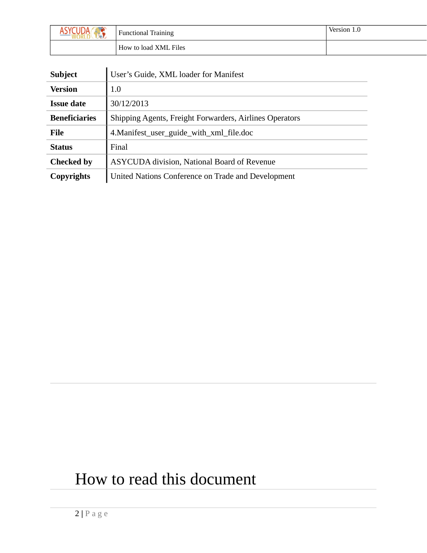| W | Functional Training   | Version 1.0 |
|---|-----------------------|-------------|
|   | How to load XML Files |             |

| <b>Subject</b>       | User's Guide, XML loader for Manifest                   |
|----------------------|---------------------------------------------------------|
| <b>Version</b>       | 1.0                                                     |
| <b>Issue date</b>    | 30/12/2013                                              |
| <b>Beneficiaries</b> | Shipping Agents, Freight Forwarders, Airlines Operators |
| File                 | 4. Manifest_user_guide_with_xml_file.doc                |
| <b>Status</b>        | Final                                                   |
| <b>Checked by</b>    | ASYCUDA division, National Board of Revenue             |
| Copyrights           | United Nations Conference on Trade and Development      |

# How to read this document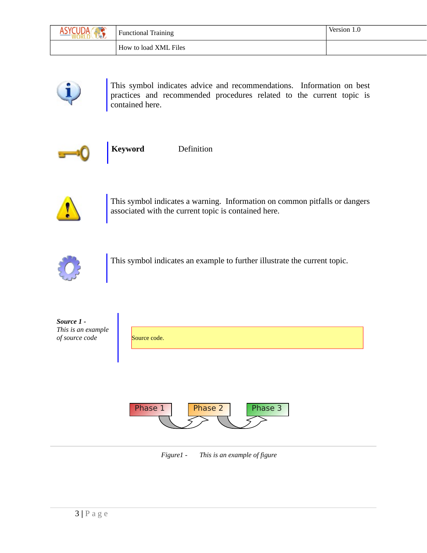| , ∈UDA ∕<br>W | <b>Functional Training</b> | Version 1.0 |
|---------------|----------------------------|-------------|
|               | How to load XML Files      |             |



This symbol indicates advice and recommendations. Information on best practices and recommended procedures related to the current topic is contained here.



**Keyword** Definition

This symbol indicates a warning. Information on common pitfalls or dangers associated with the current topic is contained here.



This symbol indicates an example to further illustrate the current topic.

| Source 1 -<br>This is an example<br>of source code | Source code.                  |  |
|----------------------------------------------------|-------------------------------|--|
|                                                    | Phase 2<br>Phase 1<br>Phase 3 |  |

*Figure1 - This is an example of figure*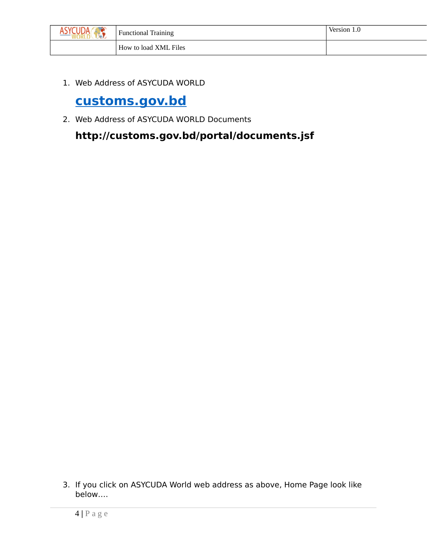

1. Web Address of ASYCUDA WORLD

### **[customs.gov.bd](https://customs.gov.bd/)**

2. Web Address of ASYCUDA WORLD Documents

**http://customs.gov.bd/portal/documents.jsf** 

3. If you click on ASYCUDA World web address as above, Home Page look like below….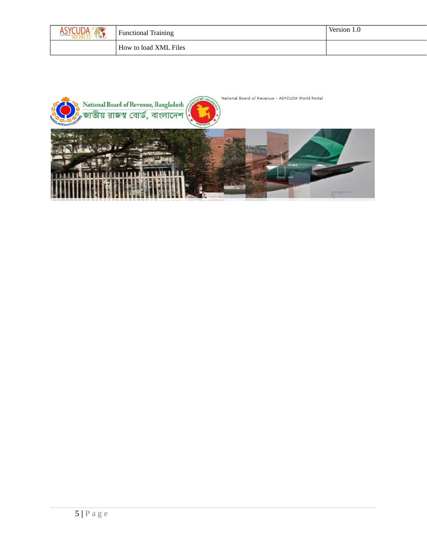| <b>Functional Training</b> | Version.<br>$\cdot$ 0 |
|----------------------------|-----------------------|
| How to load XML Files      |                       |

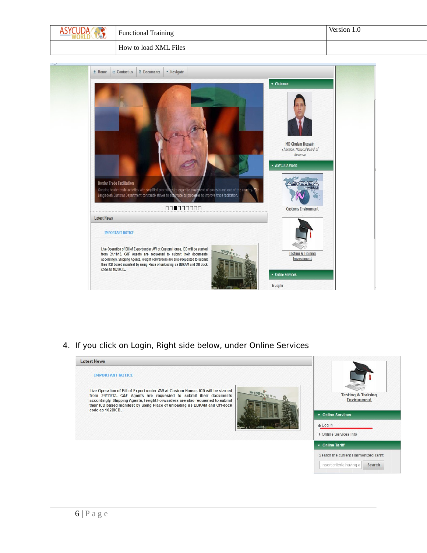



4. If you click on Login, Right side below, under Online Services

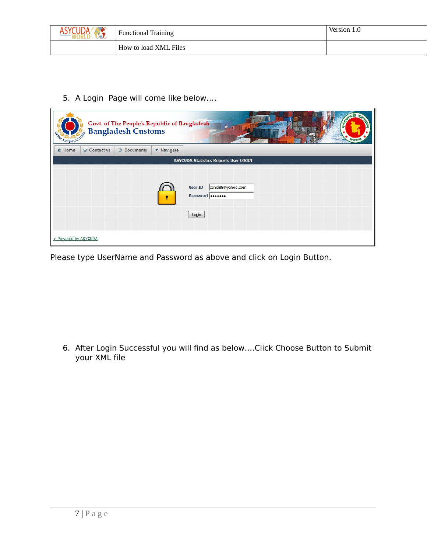| <b>Functional Training</b> | Version 1.0 |
|----------------------------|-------------|
| How to load XML Files      |             |

5. A Login Page will come like below….

| <b>RANGLADESH CUSTOM</b>       |                      | Govt. of The People's Republic of Bangladesh<br>Bangladesh Customs |            | $\mathbf{M}$<br>- 15<br>7রক                              |
|--------------------------------|----------------------|--------------------------------------------------------------------|------------|----------------------------------------------------------|
| <del><math>ê</math></del> Home | $\oslash$ Contact us | <b>Documents</b>                                                   | • Navigate |                                                          |
|                                |                      |                                                                    |            | <b>ASYCUDA Statistics Reports User LOGIN</b>             |
|                                |                      |                                                                    |            | zahid88@yahoo.com<br><b>User ID</b><br>Password<br>Login |
| > Powered by ASYCUDA           |                      |                                                                    |            |                                                          |

Please type UserName and Password as above and click on Login Button.

6. After Login Successful you will find as below….Click Choose Button to Submit your XML file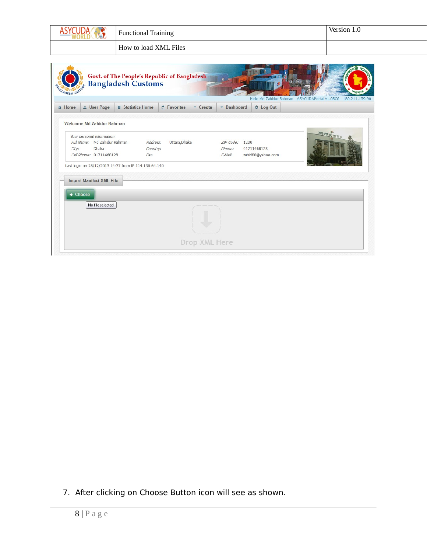|                                                                                                                | <b>Functional Training</b>                                                                             |                                |                                          | Version 1.0                                                      |
|----------------------------------------------------------------------------------------------------------------|--------------------------------------------------------------------------------------------------------|--------------------------------|------------------------------------------|------------------------------------------------------------------|
|                                                                                                                | How to load XML Files                                                                                  |                                |                                          |                                                                  |
| GLADESH CUSTO                                                                                                  | Govt. of The People's Republic of Bangladesh<br><b>Bangladesh Customs</b>                              | 图 一                            |                                          | Hello Md Zahidur Rahman - ASYCUDAPortal v1.0RC6 - 180.211.159.90 |
| & User Page<br><del><math>\hat{\mathbf{n}}</math></del> Home                                                   | <b>Statistics Home</b><br><b><i><u>A</u></i></b> Favorites                                             | Dashboard<br>Create            | <b><i>Φ</i></b> Log Out                  |                                                                  |
| Your personal information:<br>Full Name: Md Zahidur Rahman<br><b>Dhaka</b><br>City:<br>Cell Phone: 01711468128 | Address:<br>Uttara, Dhaka<br>Country:<br>Fax:<br>Last login on 28/12/2013 14:37 from IP 114.130.64.140 | ZIP Code:<br>Phone:<br>E-Mail: | 1230<br>01711468128<br>zahid88@yahoo.com | <b>RETIRE RE</b>                                                 |
| <b>Import Manifest XML File</b><br>+ Choose                                                                    |                                                                                                        |                                |                                          |                                                                  |
| No file selected.                                                                                              |                                                                                                        |                                |                                          |                                                                  |

7. After clicking on Choose Button icon will see as shown.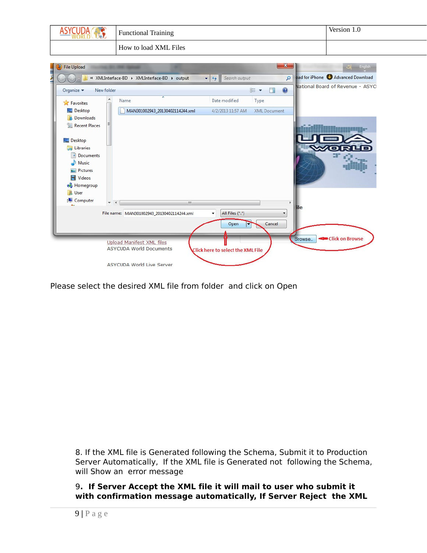| ASY                           | <b>Functional Training</b>                                | Version 1.0                                                                 |                     |
|-------------------------------|-----------------------------------------------------------|-----------------------------------------------------------------------------|---------------------|
|                               | How to load XML Files                                     |                                                                             |                     |
| Đ                             |                                                           | $\mathbf{x}$                                                                |                     |
| <b>File Upload</b>            |                                                           |                                                                             | <b>Call English</b> |
|                               | « XMLInterface-BD > XMLInterface-BD > output              | pad for iPhone Advanced Download<br>$\mathbf{Q}$<br>$-44$<br>Search output  |                     |
| Organize v<br>New folder      |                                                           | National Board of Revenue - ASYCI<br>$\circledcirc$<br><b>註 ▼</b><br>$\Box$ |                     |
| Favorites                     | Name                                                      | Date modified<br>Type                                                       |                     |
| Desktop                       | MAN301002943_20130402114244.xml                           | <b>XML Document</b><br>4/2/2013 11:57 AM                                    |                     |
| Downloads                     |                                                           |                                                                             |                     |
| Recent Places                 |                                                           |                                                                             |                     |
|                               |                                                           |                                                                             |                     |
| Desktop                       |                                                           |                                                                             |                     |
| Libraries                     |                                                           |                                                                             |                     |
| Documents                     |                                                           |                                                                             |                     |
| Music                         |                                                           |                                                                             |                     |
| Pictures<br><b>N</b> Videos   |                                                           |                                                                             |                     |
|                               |                                                           |                                                                             |                     |
| <b>Homegroup</b><br>A<br>User |                                                           |                                                                             |                     |
| لتكر<br>Computer              |                                                           |                                                                             |                     |
|                               | $\mathbf{H}$<br>$\rightarrow$<br>$\overline{\phantom{a}}$ | ilе                                                                         |                     |
|                               | File name: MAN301002943_20130402114244.xml                | All Files (*.*)<br>۰                                                        |                     |
|                               |                                                           | Cancel<br>Open<br>U                                                         |                     |
|                               |                                                           |                                                                             |                     |
|                               |                                                           | <b>Click on Browse</b><br>Browse <sub>-</sub>                               |                     |
|                               | <b>Upload Manifest XML files</b>                          |                                                                             |                     |
|                               |                                                           |                                                                             |                     |
|                               | <b>ASYCUDA World Documents</b>                            | Click here to select the XML File                                           |                     |

Please select the desired XML file from folder and click on Open

8. If the XML file is Generated following the Schema, Submit it to Production Server Automatically, If the XML file is Generated not following the Schema, will Show an error message

### 9**. If Server Accept the XML file it will mail to user who submit it with confirmation message automatically, If Server Reject the XML**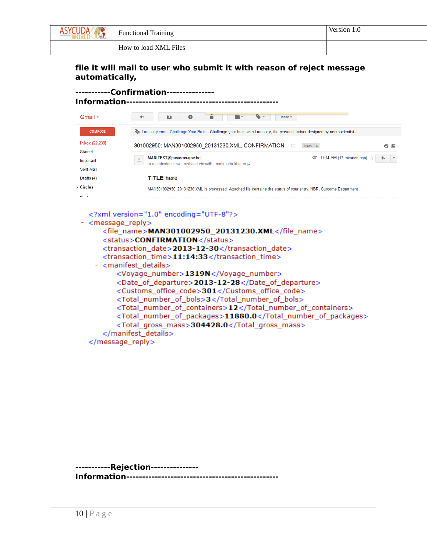

#### **file it will mail to user who submit it with reason of reject message automatically,**

#### **-----------Confirmation--------------- Information------------------------------------------------** Gmail - $\sim$  44  $\sim$  $\blacksquare$  $\bullet$ ĩ **T**  $\bullet$ More  $\overline{ }$ **COMPOSE** Lumosity.com - Challenge Your Brain - Challenge your brain with Lumosity, the personal trainer designed by neuroscientists Inbox (22,239) 301002950: MAN301002950\_20131230.XML, CONFIRMATION D Inbox x ō L Starred  $\bullet$  11:14 AM (17 minutes ago)  $\frac{1}{2}$ MANIFEST@customs.gov.bd  $\blacklozenge$ Important to morshedul.chow., rasheed.chowdh., mahmuda.khatun Sent Mail Drafts (4) **TITLE** here  $\triangleright$  Circles MAN301002950\_20131230.XML is processed. Attached file contains the status of your entry. NBR, Customs Department.

<?xml version="1.0" encoding="UTF-8"?>

- <message\_reply>
	- <file\_name>MAN301002950\_20131230.XML</file\_name> <status>CONFIRMATION</status> <transaction\_date>2013-12-30</transaction\_date> <transaction\_time>11:14:33</transaction\_time> - <manifest\_details> <Voyage\_number>1319N</Voyage\_number> <Date\_of\_departure>2013-12-28</Date\_of\_departure> <Customs\_office\_code>301</Customs\_office\_code> <Total\_number\_of\_bols>3</Total\_number\_of\_bols> <Total\_number\_of\_containers>12</Total\_number\_of\_containers> <Total\_number\_of\_packages>11880.0</Total\_number\_of\_packages> <Total\_gross\_mass>304428.0</Total\_gross\_mass> </manifest\_details> </message\_reply>

**-----------Rejection--------------- Information------------------------------------------------**